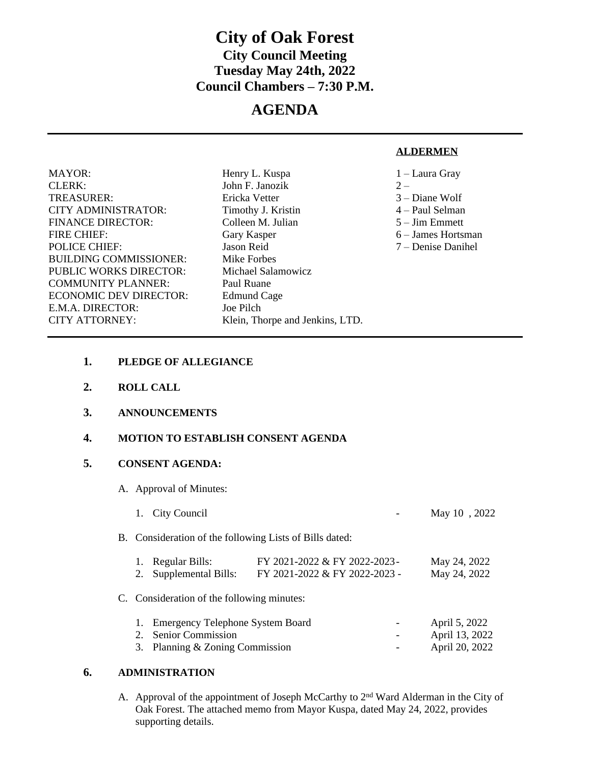## **City of Oak Forest City Council Meeting Tuesday May 24th, 2022 Council Chambers – 7:30 P.M.**

# **AGENDA**

#### **ALDERMEN**

| <b>MAYOR:</b>                 | Henry L. Kuspa                  | 1 – Laura Gray       |
|-------------------------------|---------------------------------|----------------------|
| <b>CLERK:</b>                 | John F. Janozik                 | $2 -$                |
| TREASURER:                    | Ericka Vetter                   | $3 -$ Diane Wolf     |
| <b>CITY ADMINISTRATOR:</b>    | Timothy J. Kristin              | 4 – Paul Selman      |
| <b>FINANCE DIRECTOR:</b>      | Colleen M. Julian               | $5 -$ Jim Emmett     |
| <b>FIRE CHIEF:</b>            | Gary Kasper                     | 6 – James Hortsman   |
| <b>POLICE CHIEF:</b>          | Jason Reid                      | $7 -$ Denise Danihel |
| <b>BUILDING COMMISSIONER:</b> | Mike Forbes                     |                      |
| <b>PUBLIC WORKS DIRECTOR:</b> | Michael Salamowicz              |                      |
| <b>COMMUNITY PLANNER:</b>     | Paul Ruane                      |                      |
| <b>ECONOMIC DEV DIRECTOR:</b> | Edmund Cage                     |                      |
| E.M.A. DIRECTOR:              | Joe Pilch                       |                      |
| <b>CITY ATTORNEY:</b>         | Klein, Thorpe and Jenkins, LTD. |                      |
|                               |                                 |                      |

- **1. PLEDGE OF ALLEGIANCE**
- **2. ROLL CALL**
- **3. ANNOUNCEMENTS**
- **4. MOTION TO ESTABLISH CONSENT AGENDA**

## **5. CONSENT AGENDA:**

- A. Approval of Minutes:
	- 1. City Council **1. City Council 1. City Council**

B. Consideration of the following Lists of Bills dated:

| 1. Regular Bills:      | FY 2021-2022 & FY 2022-2023-  | May 24, 2022 |
|------------------------|-------------------------------|--------------|
| 2. Supplemental Bills: | FY 2021-2022 & FY 2022-2023 - | May 24, 2022 |

C. Consideration of the following minutes:

| 1. Emergency Telephone System Board | $ -$          | April 5, 2022  |
|-------------------------------------|---------------|----------------|
| 2. Senior Commission                | $ -$          | April 13, 2022 |
| 3. Planning & Zoning Commission     | $\sim$ $\sim$ | April 20, 2022 |

#### **6. ADMINISTRATION**

A. Approval of the appointment of Joseph McCarthy to 2<sup>nd</sup> Ward Alderman in the City of Oak Forest. The attached memo from Mayor Kuspa, dated May 24, 2022, provides supporting details.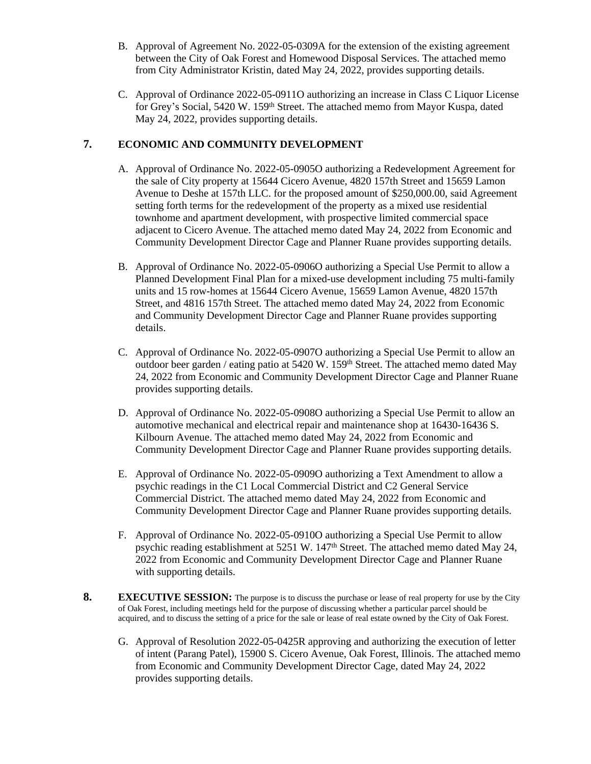- B. Approval of Agreement No. 2022-05-0309A for the extension of the existing agreement between the City of Oak Forest and Homewood Disposal Services. The attached memo from City Administrator Kristin, dated May 24, 2022, provides supporting details.
- C. Approval of Ordinance 2022-05-0911O authorizing an increase in Class C Liquor License for Grey's Social, 5420 W. 159<sup>th</sup> Street. The attached memo from Mayor Kuspa, dated May 24, 2022, provides supporting details.

## **7. ECONOMIC AND COMMUNITY DEVELOPMENT**

- A. Approval of Ordinance No. 2022-05-0905O authorizing a Redevelopment Agreement for the sale of City property at 15644 Cicero Avenue, 4820 157th Street and 15659 Lamon Avenue to Deshe at 157th LLC. for the proposed amount of \$250,000.00, said Agreement setting forth terms for the redevelopment of the property as a mixed use residential townhome and apartment development, with prospective limited commercial space adjacent to Cicero Avenue. The attached memo dated May 24, 2022 from Economic and Community Development Director Cage and Planner Ruane provides supporting details.
- B. Approval of Ordinance No. 2022-05-0906O authorizing a Special Use Permit to allow a Planned Development Final Plan for a mixed-use development including 75 multi-family units and 15 row-homes at 15644 Cicero Avenue, 15659 Lamon Avenue, 4820 157th Street, and 4816 157th Street. The attached memo dated May 24, 2022 from Economic and Community Development Director Cage and Planner Ruane provides supporting details.
- C. Approval of Ordinance No. 2022-05-0907O authorizing a Special Use Permit to allow an outdoor beer garden / eating patio at  $5420 \text{ W}$ . 159<sup>th</sup> Street. The attached memo dated May 24, 2022 from Economic and Community Development Director Cage and Planner Ruane provides supporting details.
- D. Approval of Ordinance No. 2022-05-0908O authorizing a Special Use Permit to allow an automotive mechanical and electrical repair and maintenance shop at 16430-16436 S. Kilbourn Avenue. The attached memo dated May 24, 2022 from Economic and Community Development Director Cage and Planner Ruane provides supporting details.
- E. Approval of Ordinance No. 2022-05-0909O authorizing a Text Amendment to allow a psychic readings in the C1 Local Commercial District and C2 General Service Commercial District. The attached memo dated May 24, 2022 from Economic and Community Development Director Cage and Planner Ruane provides supporting details.
- F. Approval of Ordinance No. 2022-05-0910O authorizing a Special Use Permit to allow psychic reading establishment at 5251 W. 147th Street. The attached memo dated May 24, 2022 from Economic and Community Development Director Cage and Planner Ruane with supporting details.
- **8. EXECUTIVE SESSION:** The purpose is to discuss the purchase or lease of real property for use by the City of Oak Forest, including meetings held for the purpose of discussing whether a particular parcel should be acquired, and to discuss the setting of a price for the sale or lease of real estate owned by the City of Oak Forest.
	- G. Approval of Resolution 2022-05-0425R approving and authorizing the execution of letter of intent (Parang Patel), 15900 S. Cicero Avenue, Oak Forest, Illinois. The attached memo from Economic and Community Development Director Cage, dated May 24, 2022 provides supporting details.